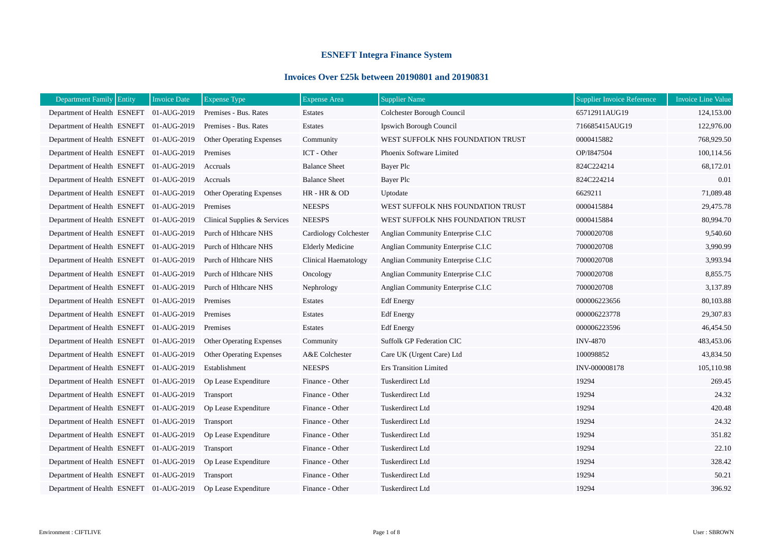## **ESNEFT Integra Finance System**

## **Invoices Over £25k between 20190801 and 20190831**

| Department Family Entity<br><b>Invoice Date</b> | <b>Expense Type</b>             | <b>Expense Area</b>         | <b>Supplier Name</b>                | Supplier Invoice Reference | <b>Invoice Line Value</b> |
|-------------------------------------------------|---------------------------------|-----------------------------|-------------------------------------|----------------------------|---------------------------|
| Department of Health ESNEFT 01-AUG-2019         | Premises - Bus. Rates           | <b>Estates</b>              | Colchester Borough Council          | 65712911AUG19              | 124,153.00                |
| Department of Health ESNEFT 01-AUG-2019         | Premises - Bus. Rates           | Estates                     | Ipswich Borough Council             | 716685415AUG19             | 122,976.00                |
| Department of Health ESNEFT 01-AUG-2019         | <b>Other Operating Expenses</b> | Community                   | WEST SUFFOLK NHS FOUNDATION TRUST   | 0000415882                 | 768,929.50                |
| Department of Health ESNEFT 01-AUG-2019         | Premises                        | ICT - Other                 | Phoenix Software Limited            | OP/I847504                 | 100,114.56                |
| Department of Health ESNEFT 01-AUG-2019         | Accruals                        | <b>Balance Sheet</b>        | Bayer Plc                           | 824C224214                 | 68,172.01                 |
| Department of Health ESNEFT 01-AUG-2019         | Accruals                        | <b>Balance Sheet</b>        | Bayer Plc                           | 824C224214                 | 0.01                      |
| Department of Health ESNEFT 01-AUG-2019         | <b>Other Operating Expenses</b> | HR - HR & OD                | Uptodate                            | 6629211                    | 71,089.48                 |
| Department of Health ESNEFT 01-AUG-2019         | Premises                        | <b>NEESPS</b>               | WEST SUFFOLK NHS FOUNDATION TRUST   | 0000415884                 | 29,475.78                 |
| Department of Health ESNEFT 01-AUG-2019         | Clinical Supplies & Services    | <b>NEESPS</b>               | WEST SUFFOLK NHS FOUNDATION TRUST   | 0000415884                 | 80,994.70                 |
| Department of Health ESNEFT 01-AUG-2019         | Purch of Hlthcare NHS           | Cardiology Colchester       | Anglian Community Enterprise C.I.C  | 7000020708                 | 9,540.60                  |
| Department of Health ESNEFT 01-AUG-2019         | Purch of Hlthcare NHS           | <b>Elderly Medicine</b>     | Anglian Community Enterprise C.I.C  | 7000020708                 | 3,990.99                  |
| Department of Health ESNEFT 01-AUG-2019         | Purch of Hlthcare NHS           | <b>Clinical Haematology</b> | Anglian Community Enterprise C.I.C  | 7000020708                 | 3,993.94                  |
| Department of Health ESNEFT 01-AUG-2019         | Purch of Hlthcare NHS           | Oncology                    | Anglian Community Enterprise C.I.C  | 7000020708                 | 8,855.75                  |
| Department of Health ESNEFT 01-AUG-2019         | Purch of Hlthcare NHS           | Nephrology                  | Anglian Community Enterprise C.I.C. | 7000020708                 | 3,137.89                  |
| Department of Health ESNEFT 01-AUG-2019         | Premises                        | Estates                     | <b>Edf</b> Energy                   | 000006223656               | 80,103.88                 |
| Department of Health ESNEFT 01-AUG-2019         | Premises                        | Estates                     | <b>Edf</b> Energy                   | 000006223778               | 29,307.83                 |
| Department of Health ESNEFT 01-AUG-2019         | Premises                        | <b>Estates</b>              | <b>Edf</b> Energy                   | 000006223596               | 46,454.50                 |
| Department of Health ESNEFT 01-AUG-2019         | Other Operating Expenses        | Community                   | <b>Suffolk GP Federation CIC</b>    | <b>INV-4870</b>            | 483,453.06                |
| Department of Health ESNEFT 01-AUG-2019         | Other Operating Expenses        | A&E Colchester              | Care UK (Urgent Care) Ltd           | 100098852                  | 43,834.50                 |
| Department of Health ESNEFT 01-AUG-2019         | Establishment                   | <b>NEESPS</b>               | <b>Ers Transition Limited</b>       | INV-000008178              | 105,110.98                |
| Department of Health ESNEFT 01-AUG-2019         | Op Lease Expenditure            | Finance - Other             | Tuskerdirect Ltd                    | 19294                      | 269.45                    |
| Department of Health ESNEFT 01-AUG-2019         | Transport                       | Finance - Other             | Tuskerdirect Ltd                    | 19294                      | 24.32                     |
| Department of Health ESNEFT 01-AUG-2019         | Op Lease Expenditure            | Finance - Other             | Tuskerdirect Ltd                    | 19294                      | 420.48                    |
| Department of Health ESNEFT 01-AUG-2019         | Transport                       | Finance - Other             | Tuskerdirect Ltd                    | 19294                      | 24.32                     |
| Department of Health ESNEFT 01-AUG-2019         | Op Lease Expenditure            | Finance - Other             | Tuskerdirect Ltd                    | 19294                      | 351.82                    |
| Department of Health ESNEFT 01-AUG-2019         | <b>Transport</b>                | Finance - Other             | Tuskerdirect Ltd                    | 19294                      | 22.10                     |
| Department of Health ESNEFT 01-AUG-2019         | Op Lease Expenditure            | Finance - Other             | Tuskerdirect Ltd                    | 19294                      | 328.42                    |
| Department of Health ESNEFT 01-AUG-2019         | Transport                       | Finance - Other             | Tuskerdirect Ltd                    | 19294                      | 50.21                     |
| Department of Health ESNEFT 01-AUG-2019         | Op Lease Expenditure            | Finance - Other             | Tuskerdirect Ltd                    | 19294                      | 396.92                    |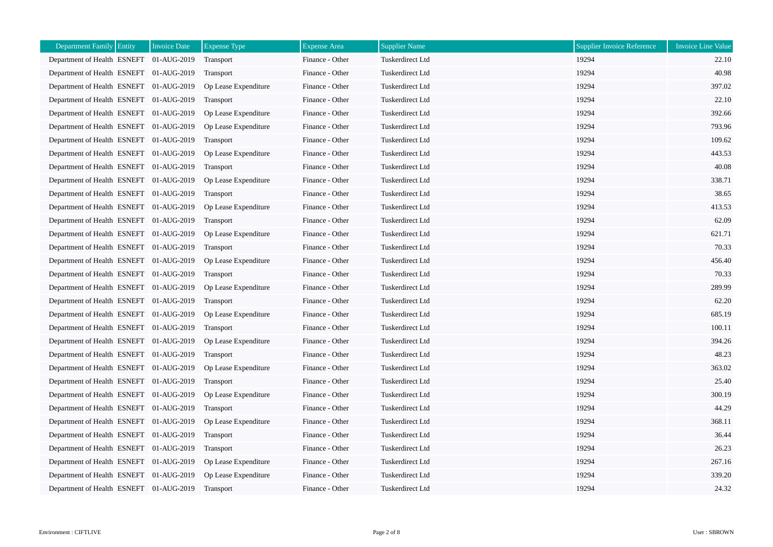| <b>Department Family Entity</b><br><b>Invoice Date</b> | <b>Expense Type</b>  | <b>Expense Area</b> | <b>Supplier Name</b>    | <b>Supplier Invoice Reference</b> | <b>Invoice Line Value</b> |
|--------------------------------------------------------|----------------------|---------------------|-------------------------|-----------------------------------|---------------------------|
| Department of Health ESNEFT 01-AUG-2019                | Transport            | Finance - Other     | Tuskerdirect Ltd        | 19294                             | 22.10                     |
| Department of Health ESNEFT 01-AUG-2019                | Transport            | Finance - Other     | Tuskerdirect Ltd        | 19294                             | 40.98                     |
| Department of Health ESNEFT 01-AUG-2019                | Op Lease Expenditure | Finance - Other     | Tuskerdirect Ltd        | 19294                             | 397.02                    |
| Department of Health ESNEFT 01-AUG-2019                | <b>Transport</b>     | Finance - Other     | Tuskerdirect Ltd        | 19294                             | 22.10                     |
| Department of Health ESNEFT 01-AUG-2019                | Op Lease Expenditure | Finance - Other     | Tuskerdirect Ltd        | 19294                             | 392.66                    |
| Department of Health ESNEFT 01-AUG-2019                | Op Lease Expenditure | Finance - Other     | Tuskerdirect Ltd        | 19294                             | 793.96                    |
| Department of Health ESNEFT 01-AUG-2019                | <b>Transport</b>     | Finance - Other     | Tuskerdirect Ltd        | 19294                             | 109.62                    |
| Department of Health ESNEFT 01-AUG-2019                | Op Lease Expenditure | Finance - Other     | Tuskerdirect Ltd        | 19294                             | 443.53                    |
| Department of Health ESNEFT 01-AUG-2019                | Transport            | Finance - Other     | Tuskerdirect Ltd        | 19294                             | 40.08                     |
| Department of Health ESNEFT 01-AUG-2019                | Op Lease Expenditure | Finance - Other     | Tuskerdirect Ltd        | 19294                             | 338.71                    |
| Department of Health ESNEFT 01-AUG-2019                | <b>Transport</b>     | Finance - Other     | Tuskerdirect Ltd        | 19294                             | 38.65                     |
| Department of Health ESNEFT 01-AUG-2019                | Op Lease Expenditure | Finance - Other     | Tuskerdirect Ltd        | 19294                             | 413.53                    |
| Department of Health ESNEFT 01-AUG-2019                | Transport            | Finance - Other     | Tuskerdirect Ltd        | 19294                             | 62.09                     |
| Department of Health ESNEFT 01-AUG-2019                | Op Lease Expenditure | Finance - Other     | Tuskerdirect Ltd        | 19294                             | 621.71                    |
| Department of Health ESNEFT 01-AUG-2019                | <b>Transport</b>     | Finance - Other     | Tuskerdirect Ltd        | 19294                             | 70.33                     |
| Department of Health ESNEFT 01-AUG-2019                | Op Lease Expenditure | Finance - Other     | <b>Tuskerdirect Ltd</b> | 19294                             | 456.40                    |
| Department of Health ESNEFT 01-AUG-2019                | Transport            | Finance - Other     | Tuskerdirect Ltd        | 19294                             | 70.33                     |
| Department of Health ESNEFT 01-AUG-2019                | Op Lease Expenditure | Finance - Other     | Tuskerdirect Ltd        | 19294                             | 289.99                    |
| Department of Health ESNEFT 01-AUG-2019                | Transport            | Finance - Other     | Tuskerdirect Ltd        | 19294                             | 62.20                     |
| Department of Health ESNEFT 01-AUG-2019                | Op Lease Expenditure | Finance - Other     | Tuskerdirect Ltd        | 19294                             | 685.19                    |
| Department of Health ESNEFT 01-AUG-2019                | Transport            | Finance - Other     | Tuskerdirect Ltd        | 19294                             | 100.11                    |
| Department of Health ESNEFT 01-AUG-2019                | Op Lease Expenditure | Finance - Other     | Tuskerdirect Ltd        | 19294                             | 394.26                    |
| Department of Health ESNEFT 01-AUG-2019                | Transport            | Finance - Other     | Tuskerdirect Ltd        | 19294                             | 48.23                     |
| Department of Health ESNEFT 01-AUG-2019                | Op Lease Expenditure | Finance - Other     | Tuskerdirect Ltd        | 19294                             | 363.02                    |
| Department of Health ESNEFT 01-AUG-2019                | Transport            | Finance - Other     | Tuskerdirect Ltd        | 19294                             | 25.40                     |
| Department of Health ESNEFT 01-AUG-2019                | Op Lease Expenditure | Finance - Other     | Tuskerdirect Ltd        | 19294                             | 300.19                    |
| Department of Health ESNEFT 01-AUG-2019                | Transport            | Finance - Other     | Tuskerdirect Ltd        | 19294                             | 44.29                     |
| Department of Health ESNEFT 01-AUG-2019                | Op Lease Expenditure | Finance - Other     | Tuskerdirect Ltd        | 19294                             | 368.11                    |
| Department of Health ESNEFT 01-AUG-2019                | Transport            | Finance - Other     | Tuskerdirect Ltd        | 19294                             | 36.44                     |
| Department of Health ESNEFT 01-AUG-2019                | <b>Transport</b>     | Finance - Other     | Tuskerdirect Ltd        | 19294                             | 26.23                     |
| Department of Health ESNEFT 01-AUG-2019                | Op Lease Expenditure | Finance - Other     | Tuskerdirect Ltd        | 19294                             | 267.16                    |
| Department of Health ESNEFT 01-AUG-2019                | Op Lease Expenditure | Finance - Other     | Tuskerdirect Ltd        | 19294                             | 339.20                    |
| Department of Health ESNEFT 01-AUG-2019                | Transport            | Finance - Other     | Tuskerdirect Ltd        | 19294                             | 24.32                     |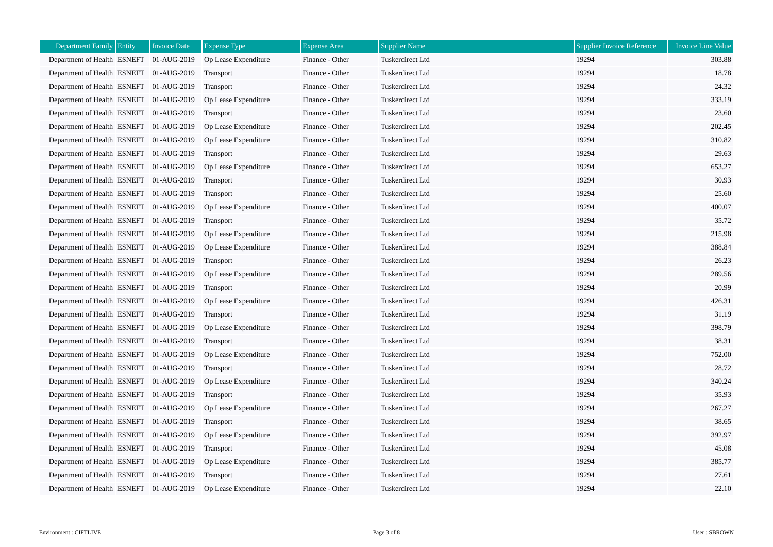| <b>Department Family Entity</b>         | <b>Invoice Date</b> | <b>Expense Type</b>  | <b>Expense Area</b> | <b>Supplier Name</b> | <b>Supplier Invoice Reference</b> | <b>Invoice Line Value</b> |
|-----------------------------------------|---------------------|----------------------|---------------------|----------------------|-----------------------------------|---------------------------|
| Department of Health ESNEFT 01-AUG-2019 |                     | Op Lease Expenditure | Finance - Other     | Tuskerdirect Ltd     | 19294                             | 303.88                    |
| Department of Health ESNEFT 01-AUG-2019 |                     | Transport            | Finance - Other     | Tuskerdirect Ltd     | 19294                             | 18.78                     |
| Department of Health ESNEFT 01-AUG-2019 |                     | Transport            | Finance - Other     | Tuskerdirect Ltd     | 19294                             | 24.32                     |
| Department of Health ESNEFT 01-AUG-2019 |                     | Op Lease Expenditure | Finance - Other     | Tuskerdirect Ltd     | 19294                             | 333.19                    |
| Department of Health ESNEFT 01-AUG-2019 |                     | Transport            | Finance - Other     | Tuskerdirect Ltd     | 19294                             | 23.60                     |
| Department of Health ESNEFT 01-AUG-2019 |                     | Op Lease Expenditure | Finance - Other     | Tuskerdirect Ltd     | 19294                             | 202.45                    |
| Department of Health ESNEFT 01-AUG-2019 |                     | Op Lease Expenditure | Finance - Other     | Tuskerdirect Ltd     | 19294                             | 310.82                    |
| Department of Health ESNEFT 01-AUG-2019 |                     | Transport            | Finance - Other     | Tuskerdirect Ltd     | 19294                             | 29.63                     |
| Department of Health ESNEFT 01-AUG-2019 |                     | Op Lease Expenditure | Finance - Other     | Tuskerdirect Ltd     | 19294                             | 653.27                    |
| Department of Health ESNEFT 01-AUG-2019 |                     | Transport            | Finance - Other     | Tuskerdirect Ltd     | 19294                             | 30.93                     |
| Department of Health ESNEFT 01-AUG-2019 |                     | Transport            | Finance - Other     | Tuskerdirect Ltd     | 19294                             | 25.60                     |
| Department of Health ESNEFT 01-AUG-2019 |                     | Op Lease Expenditure | Finance - Other     | Tuskerdirect Ltd     | 19294                             | 400.07                    |
| Department of Health ESNEFT 01-AUG-2019 |                     | Transport            | Finance - Other     | Tuskerdirect Ltd     | 19294                             | 35.72                     |
| Department of Health ESNEFT 01-AUG-2019 |                     | Op Lease Expenditure | Finance - Other     | Tuskerdirect Ltd     | 19294                             | 215.98                    |
| Department of Health ESNEFT 01-AUG-2019 |                     | Op Lease Expenditure | Finance - Other     | Tuskerdirect Ltd     | 19294                             | 388.84                    |
| Department of Health ESNEFT 01-AUG-2019 |                     | Transport            | Finance - Other     | Tuskerdirect Ltd     | 19294                             | 26.23                     |
| Department of Health ESNEFT 01-AUG-2019 |                     | Op Lease Expenditure | Finance - Other     | Tuskerdirect Ltd     | 19294                             | 289.56                    |
| Department of Health ESNEFT 01-AUG-2019 |                     | Transport            | Finance - Other     | Tuskerdirect Ltd     | 19294                             | 20.99                     |
| Department of Health ESNEFT 01-AUG-2019 |                     | Op Lease Expenditure | Finance - Other     | Tuskerdirect Ltd     | 19294                             | 426.31                    |
| Department of Health ESNEFT 01-AUG-2019 |                     | Transport            | Finance - Other     | Tuskerdirect Ltd     | 19294                             | 31.19                     |
| Department of Health ESNEFT 01-AUG-2019 |                     | Op Lease Expenditure | Finance - Other     | Tuskerdirect Ltd     | 19294                             | 398.79                    |
| Department of Health ESNEFT 01-AUG-2019 |                     | <b>Transport</b>     | Finance - Other     | Tuskerdirect Ltd     | 19294                             | 38.31                     |
| Department of Health ESNEFT 01-AUG-2019 |                     | Op Lease Expenditure | Finance - Other     | Tuskerdirect Ltd     | 19294                             | 752.00                    |
| Department of Health ESNEFT 01-AUG-2019 |                     | Transport            | Finance - Other     | Tuskerdirect Ltd     | 19294                             | 28.72                     |
| Department of Health ESNEFT 01-AUG-2019 |                     | Op Lease Expenditure | Finance - Other     | Tuskerdirect Ltd     | 19294                             | 340.24                    |
| Department of Health ESNEFT 01-AUG-2019 |                     | Transport            | Finance - Other     | Tuskerdirect Ltd     | 19294                             | 35.93                     |
| Department of Health ESNEFT 01-AUG-2019 |                     | Op Lease Expenditure | Finance - Other     | Tuskerdirect Ltd     | 19294                             | 267.27                    |
| Department of Health ESNEFT 01-AUG-2019 |                     | Transport            | Finance - Other     | Tuskerdirect Ltd     | 19294                             | 38.65                     |
| Department of Health ESNEFT 01-AUG-2019 |                     | Op Lease Expenditure | Finance - Other     | Tuskerdirect Ltd     | 19294                             | 392.97                    |
| Department of Health ESNEFT 01-AUG-2019 |                     | <b>Transport</b>     | Finance - Other     | Tuskerdirect Ltd     | 19294                             | 45.08                     |
| Department of Health ESNEFT 01-AUG-2019 |                     | Op Lease Expenditure | Finance - Other     | Tuskerdirect Ltd     | 19294                             | 385.77                    |
| Department of Health ESNEFT 01-AUG-2019 |                     | Transport            | Finance - Other     | Tuskerdirect Ltd     | 19294                             | 27.61                     |
| Department of Health ESNEFT 01-AUG-2019 |                     | Op Lease Expenditure | Finance - Other     | Tuskerdirect Ltd     | 19294                             | 22.10                     |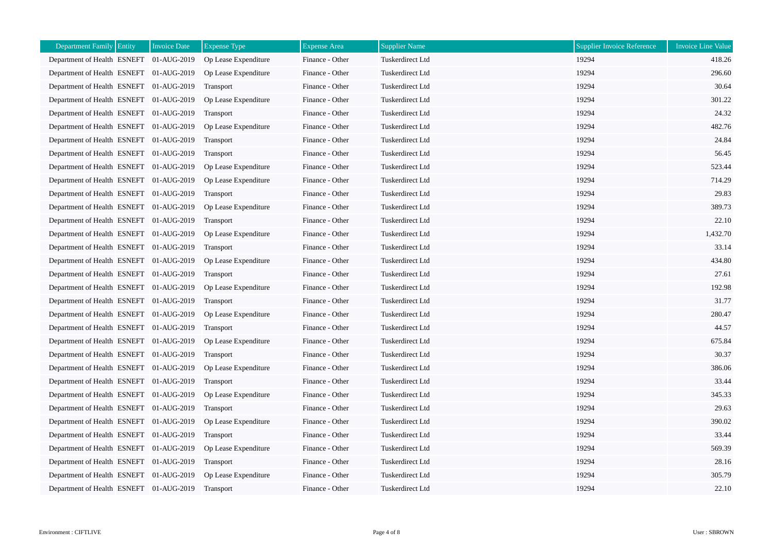| <b>Department Family Entity</b>         | <b>Invoice Date</b> | <b>Expense Type</b>  | <b>Expense Area</b> | <b>Supplier Name</b> | <b>Supplier Invoice Reference</b> | <b>Invoice Line Value</b> |
|-----------------------------------------|---------------------|----------------------|---------------------|----------------------|-----------------------------------|---------------------------|
| Department of Health ESNEFT 01-AUG-2019 |                     | Op Lease Expenditure | Finance - Other     | Tuskerdirect Ltd     | 19294                             | 418.26                    |
| Department of Health ESNEFT 01-AUG-2019 |                     | Op Lease Expenditure | Finance - Other     | Tuskerdirect Ltd     | 19294                             | 296.60                    |
| Department of Health ESNEFT 01-AUG-2019 |                     | Transport            | Finance - Other     | Tuskerdirect Ltd     | 19294                             | 30.64                     |
| Department of Health ESNEFT 01-AUG-2019 |                     | Op Lease Expenditure | Finance - Other     | Tuskerdirect Ltd     | 19294                             | 301.22                    |
| Department of Health ESNEFT 01-AUG-2019 |                     | Transport            | Finance - Other     | Tuskerdirect Ltd     | 19294                             | 24.32                     |
| Department of Health ESNEFT 01-AUG-2019 |                     | Op Lease Expenditure | Finance - Other     | Tuskerdirect Ltd     | 19294                             | 482.76                    |
| Department of Health ESNEFT 01-AUG-2019 |                     | Transport            | Finance - Other     | Tuskerdirect Ltd     | 19294                             | 24.84                     |
| Department of Health ESNEFT 01-AUG-2019 |                     | Transport            | Finance - Other     | Tuskerdirect Ltd     | 19294                             | 56.45                     |
| Department of Health ESNEFT 01-AUG-2019 |                     | Op Lease Expenditure | Finance - Other     | Tuskerdirect Ltd     | 19294                             | 523.44                    |
| Department of Health ESNEFT 01-AUG-2019 |                     | Op Lease Expenditure | Finance - Other     | Tuskerdirect Ltd     | 19294                             | 714.29                    |
| Department of Health ESNEFT 01-AUG-2019 |                     | Transport            | Finance - Other     | Tuskerdirect Ltd     | 19294                             | 29.83                     |
| Department of Health ESNEFT 01-AUG-2019 |                     | Op Lease Expenditure | Finance - Other     | Tuskerdirect Ltd     | 19294                             | 389.73                    |
| Department of Health ESNEFT 01-AUG-2019 |                     | Transport            | Finance - Other     | Tuskerdirect Ltd     | 19294                             | 22.10                     |
| Department of Health ESNEFT 01-AUG-2019 |                     | Op Lease Expenditure | Finance - Other     | Tuskerdirect Ltd     | 19294                             | 1,432.70                  |
| Department of Health ESNEFT 01-AUG-2019 |                     | <b>Transport</b>     | Finance - Other     | Tuskerdirect Ltd     | 19294                             | 33.14                     |
| Department of Health ESNEFT 01-AUG-2019 |                     | Op Lease Expenditure | Finance - Other     | Tuskerdirect Ltd     | 19294                             | 434.80                    |
| Department of Health ESNEFT 01-AUG-2019 |                     | Transport            | Finance - Other     | Tuskerdirect Ltd     | 19294                             | 27.61                     |
| Department of Health ESNEFT 01-AUG-2019 |                     | Op Lease Expenditure | Finance - Other     | Tuskerdirect Ltd     | 19294                             | 192.98                    |
| Department of Health ESNEFT 01-AUG-2019 |                     | Transport            | Finance - Other     | Tuskerdirect Ltd     | 19294                             | 31.77                     |
| Department of Health ESNEFT 01-AUG-2019 |                     | Op Lease Expenditure | Finance - Other     | Tuskerdirect Ltd     | 19294                             | 280.47                    |
| Department of Health ESNEFT 01-AUG-2019 |                     | Transport            | Finance - Other     | Tuskerdirect Ltd     | 19294                             | 44.57                     |
| Department of Health ESNEFT 01-AUG-2019 |                     | Op Lease Expenditure | Finance - Other     | Tuskerdirect Ltd     | 19294                             | 675.84                    |
| Department of Health ESNEFT 01-AUG-2019 |                     | Transport            | Finance - Other     | Tuskerdirect Ltd     | 19294                             | 30.37                     |
| Department of Health ESNEFT 01-AUG-2019 |                     | Op Lease Expenditure | Finance - Other     | Tuskerdirect Ltd     | 19294                             | 386.06                    |
| Department of Health ESNEFT 01-AUG-2019 |                     | Transport            | Finance - Other     | Tuskerdirect Ltd     | 19294                             | 33.44                     |
| Department of Health ESNEFT 01-AUG-2019 |                     | Op Lease Expenditure | Finance - Other     | Tuskerdirect Ltd     | 19294                             | 345.33                    |
| Department of Health ESNEFT 01-AUG-2019 |                     | Transport            | Finance - Other     | Tuskerdirect Ltd     | 19294                             | 29.63                     |
| Department of Health ESNEFT 01-AUG-2019 |                     | Op Lease Expenditure | Finance - Other     | Tuskerdirect Ltd     | 19294                             | 390.02                    |
| Department of Health ESNEFT 01-AUG-2019 |                     | Transport            | Finance - Other     | Tuskerdirect Ltd     | 19294                             | 33.44                     |
| Department of Health ESNEFT 01-AUG-2019 |                     | Op Lease Expenditure | Finance - Other     | Tuskerdirect Ltd     | 19294                             | 569.39                    |
| Department of Health ESNEFT 01-AUG-2019 |                     | Transport            | Finance - Other     | Tuskerdirect Ltd     | 19294                             | 28.16                     |
| Department of Health ESNEFT 01-AUG-2019 |                     | Op Lease Expenditure | Finance - Other     | Tuskerdirect Ltd     | 19294                             | 305.79                    |
| Department of Health ESNEFT 01-AUG-2019 |                     | <b>Transport</b>     | Finance - Other     | Tuskerdirect Ltd     | 19294                             | 22.10                     |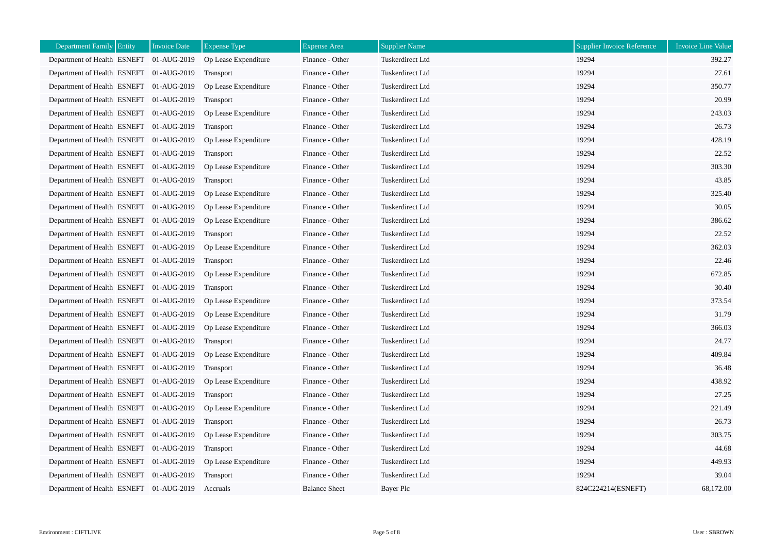| <b>Department Family Entity</b>         | <b>Invoice Date</b> | <b>Expense Type</b>  | <b>Expense Area</b>  | <b>Supplier Name</b> | <b>Supplier Invoice Reference</b> | <b>Invoice Line Value</b> |
|-----------------------------------------|---------------------|----------------------|----------------------|----------------------|-----------------------------------|---------------------------|
| Department of Health ESNEFT 01-AUG-2019 |                     | Op Lease Expenditure | Finance - Other      | Tuskerdirect Ltd     | 19294                             | 392.27                    |
| Department of Health ESNEFT 01-AUG-2019 |                     | Transport            | Finance - Other      | Tuskerdirect Ltd     | 19294                             | 27.61                     |
| Department of Health ESNEFT 01-AUG-2019 |                     | Op Lease Expenditure | Finance - Other      | Tuskerdirect Ltd     | 19294                             | 350.77                    |
| Department of Health ESNEFT 01-AUG-2019 |                     | <b>Transport</b>     | Finance - Other      | Tuskerdirect Ltd     | 19294                             | 20.99                     |
| Department of Health ESNEFT 01-AUG-2019 |                     | Op Lease Expenditure | Finance - Other      | Tuskerdirect Ltd     | 19294                             | 243.03                    |
| Department of Health ESNEFT 01-AUG-2019 |                     | Transport            | Finance - Other      | Tuskerdirect Ltd     | 19294                             | 26.73                     |
| Department of Health ESNEFT 01-AUG-2019 |                     | Op Lease Expenditure | Finance - Other      | Tuskerdirect Ltd     | 19294                             | 428.19                    |
| Department of Health ESNEFT 01-AUG-2019 |                     | Transport            | Finance - Other      | Tuskerdirect Ltd     | 19294                             | 22.52                     |
| Department of Health ESNEFT 01-AUG-2019 |                     | Op Lease Expenditure | Finance - Other      | Tuskerdirect Ltd     | 19294                             | 303.30                    |
| Department of Health ESNEFT 01-AUG-2019 |                     | Transport            | Finance - Other      | Tuskerdirect Ltd     | 19294                             | 43.85                     |
| Department of Health ESNEFT 01-AUG-2019 |                     | Op Lease Expenditure | Finance - Other      | Tuskerdirect Ltd     | 19294                             | 325.40                    |
| Department of Health ESNEFT 01-AUG-2019 |                     | Op Lease Expenditure | Finance - Other      | Tuskerdirect Ltd     | 19294                             | 30.05                     |
| Department of Health ESNEFT 01-AUG-2019 |                     | Op Lease Expenditure | Finance - Other      | Tuskerdirect Ltd     | 19294                             | 386.62                    |
| Department of Health ESNEFT 01-AUG-2019 |                     | Transport            | Finance - Other      | Tuskerdirect Ltd     | 19294                             | 22.52                     |
| Department of Health ESNEFT 01-AUG-2019 |                     | Op Lease Expenditure | Finance - Other      | Tuskerdirect Ltd     | 19294                             | 362.03                    |
| Department of Health ESNEFT 01-AUG-2019 |                     | <b>Transport</b>     | Finance - Other      | Tuskerdirect Ltd     | 19294                             | 22.46                     |
| Department of Health ESNEFT 01-AUG-2019 |                     | Op Lease Expenditure | Finance - Other      | Tuskerdirect Ltd     | 19294                             | 672.85                    |
| Department of Health ESNEFT 01-AUG-2019 |                     | Transport            | Finance - Other      | Tuskerdirect Ltd     | 19294                             | 30.40                     |
| Department of Health ESNEFT 01-AUG-2019 |                     | Op Lease Expenditure | Finance - Other      | Tuskerdirect Ltd     | 19294                             | 373.54                    |
| Department of Health ESNEFT 01-AUG-2019 |                     | Op Lease Expenditure | Finance - Other      | Tuskerdirect Ltd     | 19294                             | 31.79                     |
| Department of Health ESNEFT 01-AUG-2019 |                     | Op Lease Expenditure | Finance - Other      | Tuskerdirect Ltd     | 19294                             | 366.03                    |
| Department of Health ESNEFT 01-AUG-2019 |                     | <b>Transport</b>     | Finance - Other      | Tuskerdirect Ltd     | 19294                             | 24.77                     |
| Department of Health ESNEFT 01-AUG-2019 |                     | Op Lease Expenditure | Finance - Other      | Tuskerdirect Ltd     | 19294                             | 409.84                    |
| Department of Health ESNEFT 01-AUG-2019 |                     | Transport            | Finance - Other      | Tuskerdirect Ltd     | 19294                             | 36.48                     |
| Department of Health ESNEFT 01-AUG-2019 |                     | Op Lease Expenditure | Finance - Other      | Tuskerdirect Ltd     | 19294                             | 438.92                    |
| Department of Health ESNEFT 01-AUG-2019 |                     | Transport            | Finance - Other      | Tuskerdirect Ltd     | 19294                             | 27.25                     |
| Department of Health ESNEFT 01-AUG-2019 |                     | Op Lease Expenditure | Finance - Other      | Tuskerdirect Ltd     | 19294                             | 221.49                    |
| Department of Health ESNEFT 01-AUG-2019 |                     | Transport            | Finance - Other      | Tuskerdirect Ltd     | 19294                             | 26.73                     |
| Department of Health ESNEFT 01-AUG-2019 |                     | Op Lease Expenditure | Finance - Other      | Tuskerdirect Ltd     | 19294                             | 303.75                    |
| Department of Health ESNEFT 01-AUG-2019 |                     | <b>Transport</b>     | Finance - Other      | Tuskerdirect Ltd     | 19294                             | 44.68                     |
| Department of Health ESNEFT 01-AUG-2019 |                     | Op Lease Expenditure | Finance - Other      | Tuskerdirect Ltd     | 19294                             | 449.93                    |
| Department of Health ESNEFT 01-AUG-2019 |                     | Transport            | Finance - Other      | Tuskerdirect Ltd     | 19294                             | 39.04                     |
| Department of Health ESNEFT 01-AUG-2019 |                     | Accruals             | <b>Balance Sheet</b> | Bayer Plc            | 824C224214(ESNEFT)                | 68,172.00                 |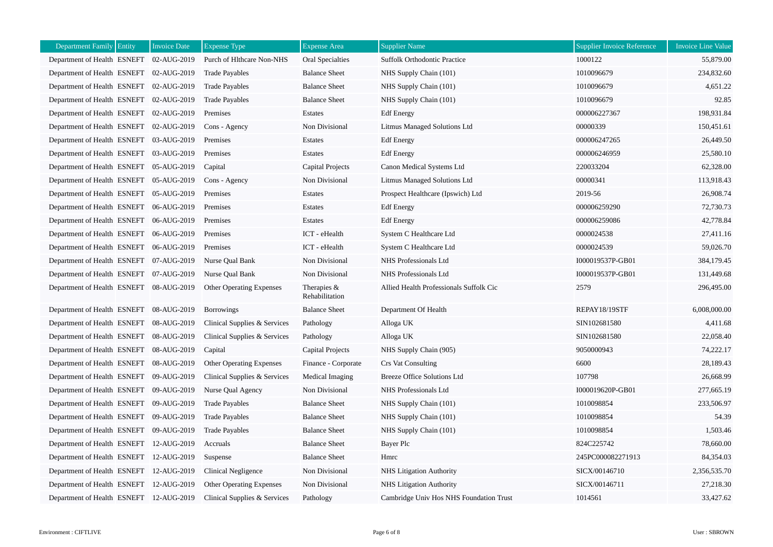| Department Family Entity                | <b>Invoice Date</b> | <b>Expense Type</b>             | <b>Expense Area</b>             | <b>Supplier Name</b>                    | <b>Supplier Invoice Reference</b> | Invoice Line Value |
|-----------------------------------------|---------------------|---------------------------------|---------------------------------|-----------------------------------------|-----------------------------------|--------------------|
| Department of Health ESNEFT 02-AUG-2019 |                     | Purch of Hlthcare Non-NHS       | <b>Oral Specialties</b>         | <b>Suffolk Orthodontic Practice</b>     | 1000122                           | 55,879.00          |
| Department of Health ESNEFT 02-AUG-2019 |                     | <b>Trade Payables</b>           | <b>Balance Sheet</b>            | NHS Supply Chain (101)                  | 1010096679                        | 234,832.60         |
| Department of Health ESNEFT 02-AUG-2019 |                     | <b>Trade Payables</b>           | <b>Balance Sheet</b>            | NHS Supply Chain (101)                  | 1010096679                        | 4,651.22           |
| Department of Health ESNEFT 02-AUG-2019 |                     | <b>Trade Payables</b>           | <b>Balance Sheet</b>            | NHS Supply Chain (101)                  | 1010096679                        | 92.85              |
| Department of Health ESNEFT 02-AUG-2019 |                     | Premises                        | Estates                         | <b>Edf</b> Energy                       | 000006227367                      | 198,931.84         |
| Department of Health ESNEFT 02-AUG-2019 |                     | Cons - Agency                   | Non Divisional                  | Litmus Managed Solutions Ltd            | 00000339                          | 150,451.61         |
| Department of Health ESNEFT 03-AUG-2019 |                     | Premises                        | Estates                         | <b>Edf</b> Energy                       | 000006247265                      | 26,449.50          |
| Department of Health ESNEFT 03-AUG-2019 |                     | Premises                        | Estates                         | <b>Edf</b> Energy                       | 000006246959                      | 25,580.10          |
| Department of Health ESNEFT 05-AUG-2019 |                     | Capital                         | Capital Projects                | Canon Medical Systems Ltd               | 220033204                         | 62,328.00          |
| Department of Health ESNEFT 05-AUG-2019 |                     | Cons - Agency                   | Non Divisional                  | Litmus Managed Solutions Ltd            | 00000341                          | 113,918.43         |
| Department of Health ESNEFT 05-AUG-2019 |                     | Premises                        | Estates                         | Prospect Healthcare (Ipswich) Ltd       | 2019-56                           | 26,908.74          |
| Department of Health ESNEFT 06-AUG-2019 |                     | Premises                        | Estates                         | <b>Edf</b> Energy                       | 000006259290                      | 72,730.73          |
| Department of Health ESNEFT 06-AUG-2019 |                     | Premises                        | Estates                         | <b>Edf</b> Energy                       | 000006259086                      | 42,778.84          |
| Department of Health ESNEFT 06-AUG-2019 |                     | Premises                        | ICT - eHealth                   | System C Healthcare Ltd                 | 0000024538                        | 27,411.16          |
| Department of Health ESNEFT 06-AUG-2019 |                     | Premises                        | ICT - eHealth                   | System C Healthcare Ltd                 | 0000024539                        | 59,026.70          |
| Department of Health ESNEFT 07-AUG-2019 |                     | Nurse Qual Bank                 | Non Divisional                  | NHS Professionals Ltd                   | I000019537P-GB01                  | 384,179.45         |
| Department of Health ESNEFT 07-AUG-2019 |                     | Nurse Qual Bank                 | Non Divisional                  | NHS Professionals Ltd                   | I000019537P-GB01                  | 131,449.68         |
| Department of Health ESNEFT 08-AUG-2019 |                     | Other Operating Expenses        | Therapies $&$<br>Rehabilitation | Allied Health Professionals Suffolk Cic | 2579                              | 296,495.00         |
| Department of Health ESNEFT 08-AUG-2019 |                     | <b>Borrowings</b>               | <b>Balance Sheet</b>            | Department Of Health                    | REPAY18/19STF                     | 6,008,000.00       |
| Department of Health ESNEFT 08-AUG-2019 |                     | Clinical Supplies & Services    | Pathology                       | Alloga UK                               | SIN102681580                      | 4,411.68           |
| Department of Health ESNEFT 08-AUG-2019 |                     | Clinical Supplies & Services    | Pathology                       | Alloga UK                               | SIN102681580                      | 22,058.40          |
| Department of Health ESNEFT 08-AUG-2019 |                     | Capital                         | <b>Capital Projects</b>         | NHS Supply Chain (905)                  | 9050000943                        | 74,222.17          |
| Department of Health ESNEFT 08-AUG-2019 |                     | Other Operating Expenses        | Finance - Corporate             | <b>Crs Vat Consulting</b>               | 6600                              | 28,189.43          |
| Department of Health ESNEFT 09-AUG-2019 |                     | Clinical Supplies & Services    | Medical Imaging                 | <b>Breeze Office Solutions Ltd</b>      | 107798                            | 26,668.99          |
| Department of Health ESNEFT 09-AUG-2019 |                     | Nurse Qual Agency               | Non Divisional                  | NHS Professionals Ltd                   | I000019620P-GB01                  | 277,665.19         |
| Department of Health ESNEFT 09-AUG-2019 |                     | <b>Trade Payables</b>           | <b>Balance Sheet</b>            | NHS Supply Chain (101)                  | 1010098854                        | 233,506.97         |
| Department of Health ESNEFT 09-AUG-2019 |                     | <b>Trade Payables</b>           | <b>Balance Sheet</b>            | NHS Supply Chain (101)                  | 1010098854                        | 54.39              |
| Department of Health ESNEFT 09-AUG-2019 |                     | <b>Trade Payables</b>           | <b>Balance Sheet</b>            | NHS Supply Chain (101)                  | 1010098854                        | 1,503.46           |
| Department of Health ESNEFT 12-AUG-2019 |                     | Accruals                        | <b>Balance Sheet</b>            | <b>Bayer Plc</b>                        | 824C225742                        | 78,660.00          |
| Department of Health ESNEFT 12-AUG-2019 |                     | Suspense                        | <b>Balance Sheet</b>            | Hmrc                                    | 245PC000082271913                 | 84,354.03          |
| Department of Health ESNEFT 12-AUG-2019 |                     | <b>Clinical Negligence</b>      | Non Divisional                  | NHS Litigation Authority                | SICX/00146710                     | 2,356,535.70       |
| Department of Health ESNEFT 12-AUG-2019 |                     | <b>Other Operating Expenses</b> | Non Divisional                  | NHS Litigation Authority                | SICX/00146711                     | 27,218.30          |
| Department of Health ESNEFT 12-AUG-2019 |                     | Clinical Supplies & Services    | Pathology                       | Cambridge Univ Hos NHS Foundation Trust | 1014561                           | 33,427.62          |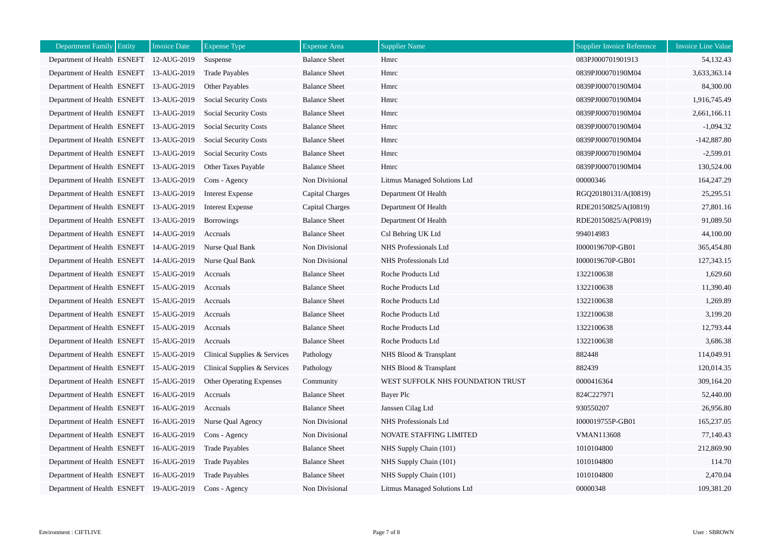| <b>Department Family Entity</b>         | <b>Invoice Date</b> | <b>Expense Type</b>          | <b>Expense Area</b>  | <b>Supplier Name</b>              | <b>Supplier Invoice Reference</b> | <b>Invoice Line Value</b> |
|-----------------------------------------|---------------------|------------------------------|----------------------|-----------------------------------|-----------------------------------|---------------------------|
| Department of Health ESNEFT 12-AUG-2019 |                     | Suspense                     | <b>Balance Sheet</b> | Hmrc                              | 083PJ000701901913                 | 54,132.43                 |
| Department of Health ESNEFT 13-AUG-2019 |                     | <b>Trade Payables</b>        | <b>Balance Sheet</b> | Hmrc                              | 0839PJ00070190M04                 | 3,633,363.14              |
| Department of Health ESNEFT 13-AUG-2019 |                     | Other Payables               | <b>Balance Sheet</b> | Hmrc                              | 0839PJ00070190M04                 | 84,300.00                 |
| Department of Health ESNEFT 13-AUG-2019 |                     | <b>Social Security Costs</b> | <b>Balance Sheet</b> | Hmrc                              | 0839PJ00070190M04                 | 1,916,745.49              |
| Department of Health ESNEFT 13-AUG-2019 |                     | Social Security Costs        | <b>Balance Sheet</b> | Hmrc                              | 0839PJ00070190M04                 | 2,661,166.11              |
| Department of Health ESNEFT 13-AUG-2019 |                     | Social Security Costs        | <b>Balance Sheet</b> | Hmrc                              | 0839PJ00070190M04                 | $-1,094.32$               |
| Department of Health ESNEFT 13-AUG-2019 |                     | <b>Social Security Costs</b> | <b>Balance Sheet</b> | Hmrc                              | 0839PJ00070190M04                 | $-142,887.80$             |
| Department of Health ESNEFT 13-AUG-2019 |                     | Social Security Costs        | <b>Balance Sheet</b> | Hmrc                              | 0839PJ00070190M04                 | $-2,599.01$               |
| Department of Health ESNEFT 13-AUG-2019 |                     | Other Taxes Payable          | <b>Balance Sheet</b> | Hmrc                              | 0839PJ00070190M04                 | 130,524.00                |
| Department of Health ESNEFT 13-AUG-2019 |                     | Cons - Agency                | Non Divisional       | Litmus Managed Solutions Ltd      | 00000346                          | 164,247.29                |
| Department of Health ESNEFT 13-AUG-2019 |                     | Interest Expense             | Capital Charges      | Department Of Health              | RGQ20180131/A(I0819)              | 25,295.51                 |
| Department of Health ESNEFT 13-AUG-2019 |                     | <b>Interest Expense</b>      | Capital Charges      | Department Of Health              | RDE20150825/A(I0819)              | 27,801.16                 |
| Department of Health ESNEFT 13-AUG-2019 |                     | <b>Borrowings</b>            | <b>Balance Sheet</b> | Department Of Health              | RDE20150825/A(P0819)              | 91,089.50                 |
| Department of Health ESNEFT 14-AUG-2019 |                     | Accruals                     | <b>Balance Sheet</b> | Csl Behring UK Ltd                | 994014983                         | 44,100.00                 |
| Department of Health ESNEFT 14-AUG-2019 |                     | Nurse Qual Bank              | Non Divisional       | NHS Professionals Ltd             | I000019670P-GB01                  | 365,454.80                |
| Department of Health ESNEFT 14-AUG-2019 |                     | Nurse Qual Bank              | Non Divisional       | NHS Professionals Ltd             | I000019670P-GB01                  | 127,343.15                |
| Department of Health ESNEFT 15-AUG-2019 |                     | Accruals                     | <b>Balance Sheet</b> | Roche Products Ltd                | 1322100638                        | 1,629.60                  |
| Department of Health ESNEFT 15-AUG-2019 |                     | Accruals                     | <b>Balance Sheet</b> | Roche Products Ltd                | 1322100638                        | 11,390.40                 |
| Department of Health ESNEFT 15-AUG-2019 |                     | Accruals                     | <b>Balance Sheet</b> | Roche Products Ltd                | 1322100638                        | 1,269.89                  |
| Department of Health ESNEFT 15-AUG-2019 |                     | Accruals                     | <b>Balance Sheet</b> | Roche Products Ltd                | 1322100638                        | 3,199.20                  |
| Department of Health ESNEFT 15-AUG-2019 |                     | Accruals                     | <b>Balance Sheet</b> | Roche Products Ltd                | 1322100638                        | 12,793.44                 |
| Department of Health ESNEFT 15-AUG-2019 |                     | Accruals                     | <b>Balance Sheet</b> | Roche Products Ltd                | 1322100638                        | 3,686.38                  |
| Department of Health ESNEFT 15-AUG-2019 |                     | Clinical Supplies & Services | Pathology            | NHS Blood & Transplant            | 882448                            | 114,049.91                |
| Department of Health ESNEFT 15-AUG-2019 |                     | Clinical Supplies & Services | Pathology            | NHS Blood & Transplant            | 882439                            | 120,014.35                |
| Department of Health ESNEFT 15-AUG-2019 |                     | Other Operating Expenses     | Community            | WEST SUFFOLK NHS FOUNDATION TRUST | 0000416364                        | 309,164.20                |
| Department of Health ESNEFT 16-AUG-2019 |                     | Accruals                     | <b>Balance Sheet</b> | Bayer Plc                         | 824C227971                        | 52,440.00                 |
| Department of Health ESNEFT 16-AUG-2019 |                     | Accruals                     | <b>Balance Sheet</b> | Janssen Cilag Ltd                 | 930550207                         | 26,956.80                 |
| Department of Health ESNEFT 16-AUG-2019 |                     | Nurse Qual Agency            | Non Divisional       | NHS Professionals Ltd             | I000019755P-GB01                  | 165,237.05                |
| Department of Health ESNEFT 16-AUG-2019 |                     | Cons - Agency                | Non Divisional       | NOVATE STAFFING LIMITED           | <b>VMAN113608</b>                 | 77,140.43                 |
| Department of Health ESNEFT 16-AUG-2019 |                     | <b>Trade Payables</b>        | <b>Balance Sheet</b> | NHS Supply Chain (101)            | 1010104800                        | 212,869.90                |
| Department of Health ESNEFT 16-AUG-2019 |                     | <b>Trade Payables</b>        | <b>Balance Sheet</b> | NHS Supply Chain (101)            | 1010104800                        | 114.70                    |
| Department of Health ESNEFT 16-AUG-2019 |                     | <b>Trade Payables</b>        | <b>Balance Sheet</b> | NHS Supply Chain (101)            | 1010104800                        | 2,470.04                  |
| Department of Health ESNEFT 19-AUG-2019 |                     | Cons - Agency                | Non Divisional       | Litmus Managed Solutions Ltd      | 00000348                          | 109,381.20                |